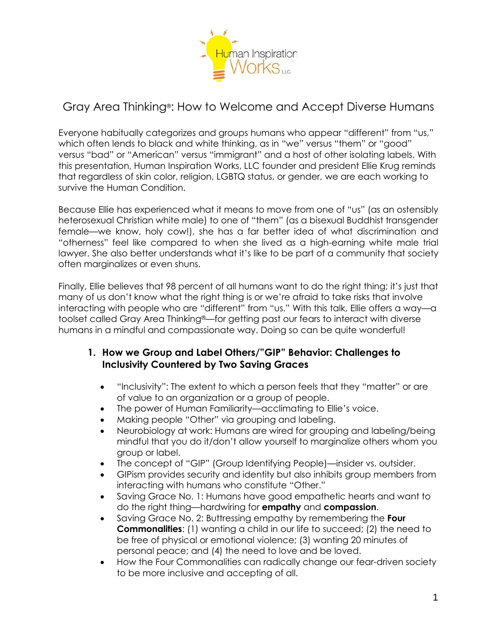

# Gray Area Thinking®: How to Welcome and Accept Diverse Humans

Everyone habitually categorizes and groups humans who appear "different" from "us," which often lends to black and white thinking, as in "we" versus "them" or "good" versus "bad" or "American" versus "immigrant" and a host of other isolating labels. With this presentation, Human Inspiration Works, LLC founder and president Ellie Krug reminds that regardless of skin color, religion, LGBTQ status, or gender, we are each working to survive the Human Condition.

Because Ellie has experienced what it means to move from one of "us" (as an ostensibly heterosexual Christian white male) to one of "them" (as a bisexual Buddhist transgender female—we know, holy cow!), she has a far better idea of what discrimination and "otherness" feel like compared to when she lived as a high-earning white male trial lawyer. She also better understands what it's like to be part of a community that society often marginalizes or even shuns.

Finally, Ellie believes that 98 percent of all humans want to do the right thing; it's just that many of us don't know what the right thing is or we're afraid to take risks that involve interacting with people who are "different" from "us." With this talk, Ellie offers a way—a toolset called Gray Area Thinking®—for getting past our fears to interact with diverse humans in a mindful and compassionate way. Doing so can be quite wonderful!

## **1. How we Group and Label Others/"GIP" Behavior: Challenges to Inclusivity Countered by Two Saving Graces**

- "Inclusivity": The extent to which a person feels that they "matter" or are of value to an organization or a group of people.
- The power of Human Familiarity—acclimating to Ellie's voice.
- Making people "Other" via grouping and labeling.
- Neurobiology at work: Humans are wired for grouping and labeling/being mindful that you do it/don't allow yourself to marginalize others whom you group or label.
- The concept of "GIP" (Group Identifying People)—insider vs. outsider.
- GIPism provides security and identity but also inhibits group members from interacting with humans who constitute "Other."
- Saving Grace No. 1: Humans have good empathetic hearts and want to do the right thing—hardwiring for **empathy** and **compassion**.
- Saving Grace No. 2: Buttressing empathy by remembering the **Four Commonalities:** (1) wanting a child in our life to succeed; (2) the need to be free of physical or emotional violence; (3) wanting 20 minutes of personal peace; and (4) the need to love and be loved.
- How the Four Commonalities can radically change our fear-driven society to be more inclusive and accepting of all.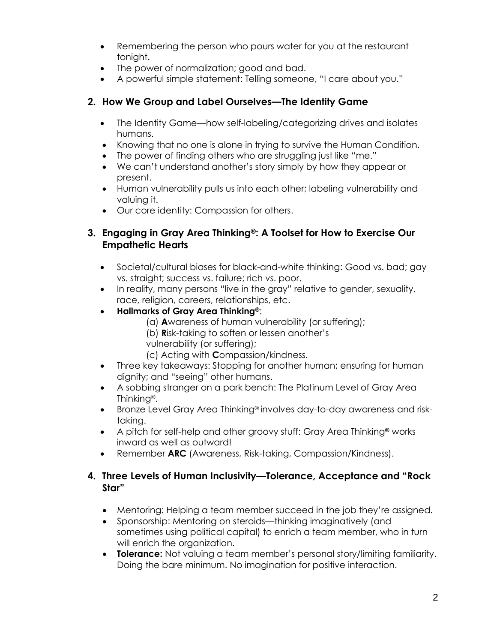- Remembering the person who pours water for you at the restaurant tonight.
- The power of normalization; good and bad.
- A powerful simple statement: Telling someone, "I care about you."

# **2. How We Group and Label Ourselves—The Identity Game**

- The Identity Game—how self-labeling/categorizing drives and isolates humans.
- Knowing that no one is alone in trying to survive the Human Condition.
- The power of finding others who are struggling just like "me."
- We can't understand another's story simply by how they appear or present.
- Human vulnerability pulls us into each other; labeling vulnerability and valuing it.
- Our core identity: Compassion for others.

# **3. Engaging in Gray Area Thinking®: A Toolset for How to Exercise Our Empathetic Hearts**

- Societal/cultural biases for black-and-white thinking: Good vs. bad; gay vs. straight; success vs. failure; rich vs. poor.
- In reality, many persons "live in the gray" relative to gender, sexuality, race, religion, careers, relationships, etc.
- **Hallmarks of Gray Area Thinking®**:
	- (a) **A**wareness of human vulnerability (or suffering);
	- (b) **R**isk-taking to soften or lessen another's
	- vulnerability (or suffering);
	- (c) Acting with **C**ompassion/kindness.
- Three key takeaways: Stopping for another human; ensuring for human dignity; and "seeing" other humans.
- A sobbing stranger on a park bench: The Platinum Level of Gray Area Thinking®.
- Bronze Level Gray Area Thinking® involves day-to-day awareness and risktaking.
- A pitch for self-help and other groovy stuff: Gray Area Thinking**®** works inward as well as outward!
- Remember **ARC** (Awareness, Risk-taking, Compassion/Kindness).

## **4. Three Levels of Human Inclusivity—Tolerance, Acceptance and "Rock Star"**

- Mentoring: Helping a team member succeed in the job they're assigned.
- Sponsorship: Mentoring on steroids—thinking imaginatively (and sometimes using political capital) to enrich a team member, who in turn will enrich the organization.
- **Tolerance:** Not valuing a team member's personal story/limiting familiarity. Doing the bare minimum. No imagination for positive interaction.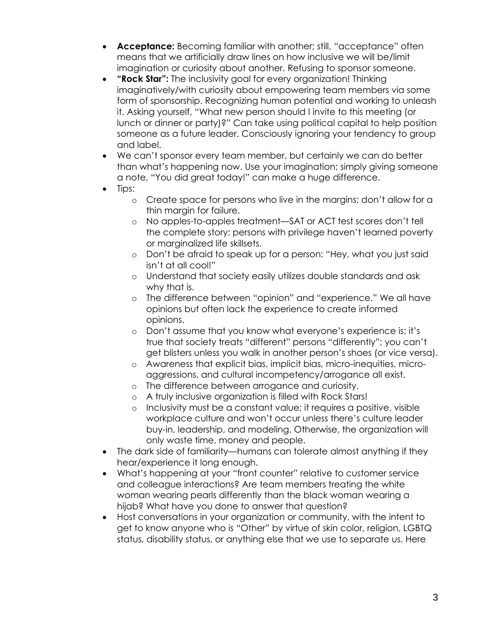- **Acceptance:** Becoming familiar with another; still, "acceptance" often means that we artificially draw lines on how inclusive we will be/limit imagination or curiosity about another. Refusing to sponsor someone.
- **"Rock Star":** The inclusivity goal for every organization! Thinking imaginatively/with curiosity about empowering team members via some form of sponsorship. Recognizing human potential and working to unleash it. Asking yourself, "What new person should I invite to this meeting (or lunch or dinner or party)?" Can take using political capital to help position someone as a future leader. Consciously ignoring your tendency to group and label.
- We can't sponsor every team member, but certainly we can do better than what's happening now. Use your imagination; simply giving someone a note, "You did great today!" can make a huge difference.
- Tips:
	- o Create space for persons who live in the margins; don't allow for a thin margin for failure.
	- o No apples-to-apples treatment—SAT or ACT test scores don't tell the complete story; persons with privilege haven't learned poverty or marginalized life skillsets.
	- o Don't be afraid to speak up for a person: "Hey, what you just said isn't at all cool!"
	- o Understand that society easily utilizes double standards and ask why that is.
	- o The difference between "opinion" and "experience." We all have opinions but often lack the experience to create informed opinions.
	- o Don't assume that you know what everyone's experience is; it's true that society treats "different" persons "differently"; you can't get blisters unless you walk in another person's shoes (or vice versa).
	- o Awareness that explicit bias, implicit bias, micro-inequities, microaggressions, and cultural incompetency/arrogance all exist.
	- o The difference between arrogance and curiosity.
	- o A truly inclusive organization is filled with Rock Stars!
	- o Inclusivity must be a constant value; it requires a positive, visible workplace culture and won't occur unless there's culture leader buy-in, leadership, and modeling. Otherwise, the organization will only waste time, money and people.
- The dark side of familiarity—humans can tolerate almost anything if they hear/experience it long enough.
- What's happening at your "front counter" relative to customer service and colleague interactions? Are team members treating the white woman wearing pearls differently than the black woman wearing a hijab? What have you done to answer that question?
- Host conversations in your organization or community, with the intent to get to know anyone who is "Other" by virtue of skin color, religion, LGBTQ status, disability status, or anything else that we use to separate us. Here